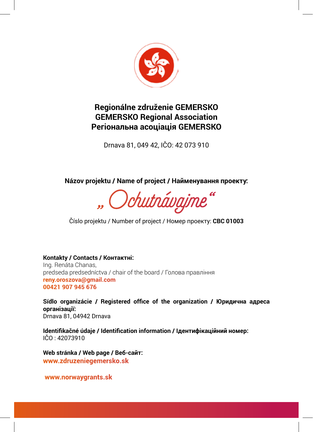

#### **Regionálne združenie GEMERSKO GEMERSKO Regional Association Регіональна асоціація GEMERSKO**

Drnava 81, 049 42, IČO: 42 073 910

**Názov projektu / Name of project / Найменування проекту:**

Ochutnávajme

Číslo projektu / Number of project / Номер проекту: **CBC 01003**

#### **Kontakty / Contacts / Контактні:**

Ing. Renáta Chanas, predseda predsedníctva / chair of the board / Голова правління **reny.oroszova@gmail.com 00421 907 945 676**

**Sídlo organizácie / Registered office of the organization / Юридична адреса організації:** Drnava 81, 04942 Drnava

**Identifikačné údaje / Identification information / Ідентифікаційний номер:** IČO : 42073910

**Web stránka / Web page / Веб-сайт: www.zdruzeniegemersko.sk**

 **www.norwaygrants.sk**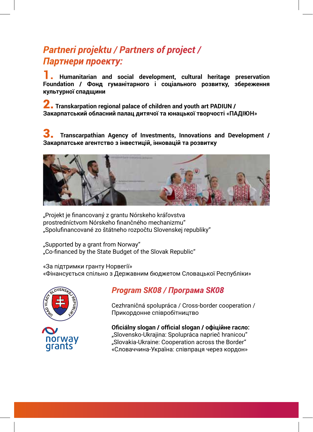# *Partneri projektu / Partners of project / Партнери проекту:*

**1. Humanitarian and social development, cultural heritage preservation Foundation / Фонд гуманітарного і соціального розвитку, збереження культурної спадщини**

2. **Transkarpation regional palace of children and youth art PADIUN / Закарпатський обласний палац дитячої та юнацької творчості «ПАДІЮН»**

3. **Transcarpathian Agency of Investments, Innovations and Development / Закарпатське агентство з інвестицій, інновацій та розвитку**



"Projekt je financovaný z grantu Nórskeho kráľovstva prostredníctvom Nórskeho finančného mechanizmu" "Spolufinancované zo štátneho rozpočtu Slovenskej republiky"

"Supported by a grant from Norway" "Co-financed by the State Budget of the Slovak Republic"

«За підтримки гранту Норвегії» «Фінансується спільно з Державним бюджетом Словацької Республіки»



### *Program SK08 / Програма SK08*

 Cezhraničná spolupráca / Cross-border cooperation / Прикордонне співробітництво

 **Oficiálny slogan / official slogan / офіційне гасло:** "Slovensko-Ukrajina: Spolupráca naprieč hranicou" TIOI WAY<br>"Slovakia-Ukraine: Cooperation across the Border"<br>"Cropauwus-Vinaïus: cripppaug uppe Koppeus «Словаччина-Україна: співпраця через кордон»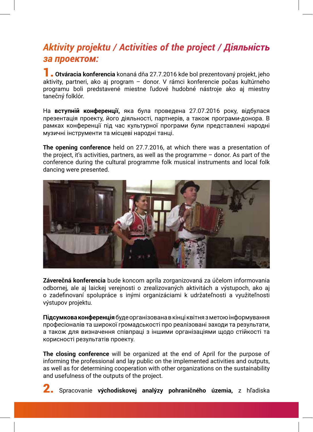## *Aktivity projektu / Activities of the project / Діяльність за проектом:*

**1. Otváracia konferencia** konaná dňa 27.7.2016 kde bol prezentovaný projekt, jeho aktivity, partneri, ako aj program – donor. V rámci konferencie počas kultúrneho programu boli predstavené miestne ľudové hudobné nástroje ako aj miestny tanečný folklór.

На **вступній конференції,** яка була проведена 27.07.2016 року, відбулася презентація проекту, його діяльності, партнерів, а також програми-донора. В рамках конференції під час культурної програми були представлені народні музичні інструменти та місцеві народні танці.

**The opening conference** held on 27.7.2016, at which there was a presentation of the project, it's activities, partners, as well as the programme – donor. As part of the conference during the cultural programme folk musical instruments and local folk dancing were presented.



**Záverečná konferencia** bude koncom apríla zorganizovaná za účelom informovania odbornej, ale aj laickej verejnosti o zrealizovaných aktivitách a výstupoch, ako aj o zadefinovaní spolupráce s inými organizáciami k udržateľnosti a využiteľnosti výstupov projektu.

**Підсумкова конференція** буде організована в кінці квітня з метою інформування професіоналів та широкої громадськості про реалізовані заходи та результати, а також для визначення співпраці з іншими організаціями щодо стійкості та корисності результатів проекту.

**The closing conference** will be organized at the end of April for the purpose of informing the professional and lay public on the implemented activities and outputs, as well as for determining cooperation with other organizations on the sustainability and usefulness of the outputs of the project.

2. Spracovanie **východiskovej analýzy pohraničného územia,** z hľadiska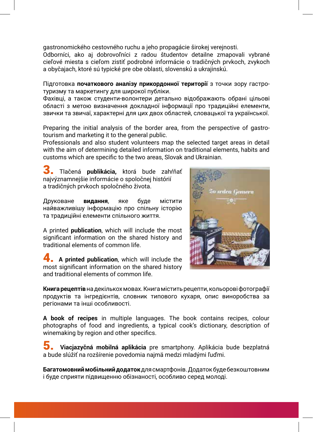gastronomického cestovného ruchu a jeho propagácie širokej verejnosti.

Odborníci, ako aj dobrovoľníci z radou študentov detailne zmapovali vybrané cieľové miesta s cieľom zistiť podrobné informácie o tradičných prvkoch, zvykoch a obyčajach, ktoré sú typické pre obe oblasti, slovenskú a ukrajinskú.

Підготовка **початкового аналізу прикордонної території** з точки зору гастротуризму та маркетингу для широкої публіки.

Фахівці, а також студенти-волонтери детально відображають обрані цільові області з метою визначення докладної інформації про традиційні елементи, звички та звичаї, характерні для цих двох областей, словацької та української.

Preparing the initial analysis of the border area, from the perspective of gastrotourism and marketing it to the general public.

Professionals and also student volunteers map the selected target areas in detail with the aim of determining detailed information on traditional elements, habits and customs which are specific to the two areas, Slovak and Ukrainian.

3. Tlačená **publikácia,** ktorá bude zahŕňať najvýznamnejšie informácie o spoločnej histórií a tradičných prvkoch spoločného života.

Друковане **видання**, яке буде містити найважливішу інформацію про спільну історію та традиційні елементи спільного життя.

A printed **publication**, which will include the most significant information on the shared history and traditional elements of common life.

4. **A printed publication**, which will include the most significant information on the shared history and traditional elements of common life.



**Книга рецептів** на декількох мовах. Книга містить рецепти, кольорові фотографії продуктів та інгредієнтів, словник типового кухаря, опис виноробства за регіонами та інші особливості.

**A book of recipes** in multiple languages. The book contains recipes, colour photographs of food and ingredients, a typical cook's dictionary, description of winemaking by region and other specifics.

5. **Viacjazyčná mobilná aplikácia** pre smartphony. Aplikácia bude bezplatná a bude slúžiť na rozšírenie povedomia najmä medzi mladými ľuďmi.

**Багатомовний мобільний додаток** для смартфонів. Додаток буде безкоштовним і буде сприяти підвищенню обізнаності, особливо серед молоді.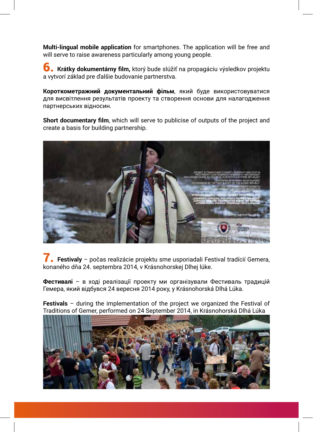**Multi-lingual mobile application** for smartphones. The application will be free and will serve to raise awareness particularly among young people.

6. **Krátky dokumentárny film,** ktorý bude slúžiť na propagáciu výsledkov projektu a vytvorí základ pre ďalšie budovanie partnerstva.

**Короткометражний документальний фільм**, який буде використовуватися для висвітлення результатів проекту та створення основи для налагодження партнерських відносин.

**Short documentary film**, which will serve to publicise of outputs of the project and create a basis for building partnership.



7. **Festivaly** – počas realizácie projektu sme usporiadali Festival tradícií Gemera, konaného dňa 24. septembra 2014, v Krásnohorskej Dlhej lúke.

**Фестивалі** – в ході реалізації проекту ми організували Фестиваль традицій Гемера, який відбувся 24 вересня 2014 року, у Krásnohorská Dlhá Lúka.

**Festivals** – during the implementation of the project we organized the Festival of Traditions of Gemer, performed on 24 September 2014, in Krásnohorská Dlhá Lúka

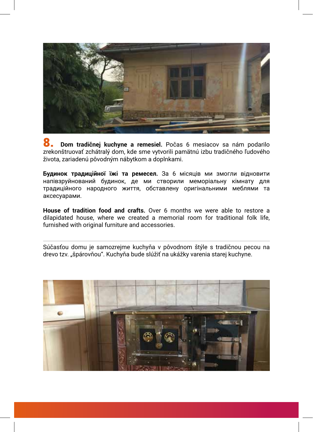

8. **Dom tradičnej kuchyne a remesiel.** Počas 6 mesiacov sa nám podarilo zrekonštruovať zchátralý dom, kde sme vytvorili pamätnú izbu tradičného ľudového života, zariadenú pôvodným nábytkom a doplnkami.

**Будинок традиційної їжі та ремесел.** За 6 місяців ми змогли відновити напівзруйнований будинок, де ми створили меморіальну кімнату для традиційного народного життя, обставлену оригінальними меблями та аксесуарами.

**House of tradition food and crafts.** Over 6 months we were able to restore a dilapidated house, where we created a memorial room for traditional folk life, furnished with original furniture and accessories.

Súčasťou domu je samozrejme kuchyňa v pôvodnom štýle s tradičnou pecou na drevo tzv. "špárovňou". Kuchyňa bude slúžiť na ukážky varenia starej kuchyne.

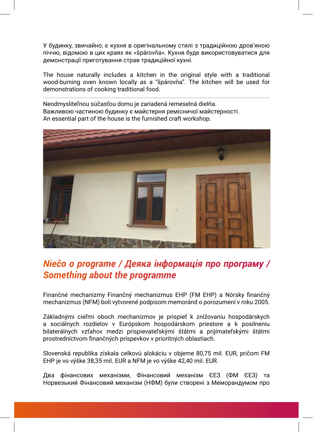У будинку, звичайно, є кухня в оригінальному стилі з традиційною дров'яною піччю, відомою в цих краях як «špárovňa». Кухня буде використовуватися для демонстрації приготування страв традиційної кухні.

The house naturally includes a kitchen in the original style with a traditional wood-burning oven known locally as a "špárovňa". The kitchen will be used for demonstrations of cooking traditional food.

Neodmysliteľnou súčasťou domu je zariadená remeselná dielňa. Важливою частиною будинку є майстерня ремісничої майстерності. An essential part of the house is the furnished craft workshop.



## *Niečo o programe / Деяка інформація про програму / Something about the programme*

Finančné mechanizmy Finančný mechanizmus EHP (FM EHP) a Nórsky finančný mechanizmus (NFM) boli vytvorené podpisom memoránd o porozumení v roku 2005.

Základnými cieľmi oboch mechanizmov je prispieť k znižovaniu hospodárskych a sociálnych rozdielov v Európskom hospodárskom priestore a k posilneniu bilaterálnych vzťahov medzi prispievateľskými štátmi a prijímateľskými štátmi prostredníctvom finančných príspevkov v prioritných oblastiach.

Slovenská republika získala celkovú alokáciu v objeme 80,75 mil. EUR, pričom FM EHP je vo výške 38,35 mil. EUR a NFM je vo výške 42,40 mil. EUR.

Два фінансових механізми, Фінансовий механізм ЄЕЗ (ФМ ЄЕЗ) та Норвезький Фінансовий механізм (НФМ) були створені з Меморандумом про